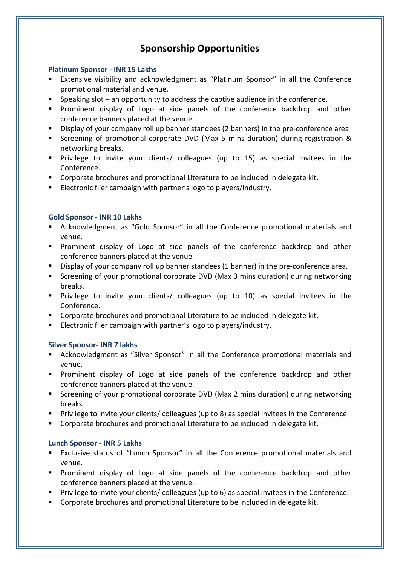# **Sponsorship Opportunities**

# **Platinum Sponsor - INR 15 Lakhs**

- Extensive visibility and acknowledgment as "Platinum Sponsor" in all the Conference promotional material and venue.
- Speaking slot an opportunity to address the captive audience in the conference.
- **Prominent display of Logo at side panels of the conference backdrop and other** conference banners placed at the venue.
- **Display of your company roll up banner standees (2 banners) in the pre-conference area**
- Screening of promotional corporate DVD (Max 5 mins duration) during registration & networking breaks.
- Privilege to invite your clients/ colleagues (up to 15) as special invitees in the Conference.
- **Corporate brochures and promotional Literature to be included in delegate kit.**
- **Electronic flier campaign with partner's logo to players/industry.**

# **Gold Sponsor - INR 10 Lakhs**

- Acknowledgment as "Gold Sponsor" in all the Conference promotional materials and venue.
- **Prominent display of Logo at side panels of the conference backdrop and other** conference banners placed at the venue.
- **Display of your company roll up banner standees (1 banner) in the pre-conference area.**
- Screening of your promotional corporate DVD (Max 3 mins duration) during networking breaks.
- Privilege to invite your clients/ colleagues (up to 10) as special invitees in the Conference.
- **Corporate brochures and promotional Literature to be included in delegate kit.**
- **Electronic flier campaign with partner's logo to players/industry.**

# **Silver Sponsor- INR 7 lakhs**

- Acknowledgment as "Silver Sponsor" in all the Conference promotional materials and venue.
- **Prominent display of Logo at side panels of the conference backdrop and other** conference banners placed at the venue.
- Screening of your promotional corporate DVD (Max 2 mins duration) during networking breaks.
- **Privilege to invite your clients/ colleagues (up to 8) as special invitees in the Conference.**
- Corporate brochures and promotional Literature to be included in delegate kit.

# **Lunch Sponsor - INR 5 Lakhs**

- Exclusive status of "Lunch Sponsor" in all the Conference promotional materials and venue.
- **Prominent display of Logo at side panels of the conference backdrop and other** conference banners placed at the venue.
- Privilege to invite your clients/ colleagues (up to 6) as special invitees in the Conference.
- **Corporate brochures and promotional Literature to be included in delegate kit.**